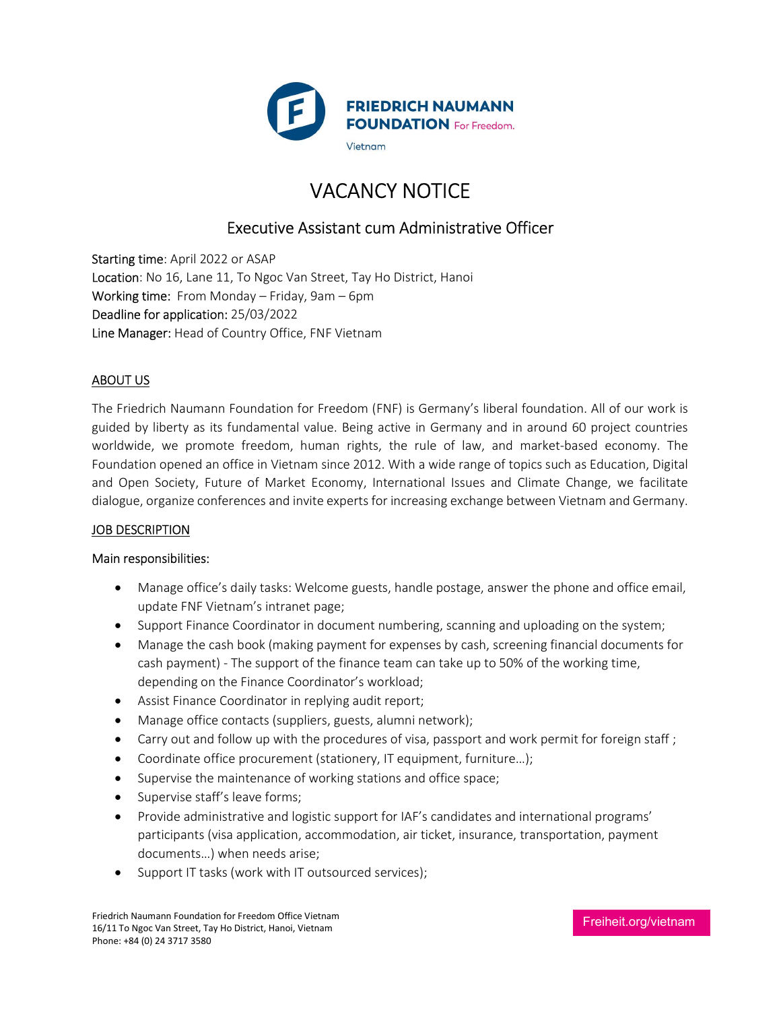

# VACANCY NOTICE

## Executive Assistant cum Administrative Officer

Starting time: April 2022 or ASAP Location: No 16, Lane 11, To Ngoc Van Street, Tay Ho District, Hanoi Working time: From Monday – Friday, 9am – 6pm Deadline for application: 25/03/2022 Line Manager: Head of Country Office, FNF Vietnam

#### ABOUT US

The Friedrich Naumann Foundation for Freedom (FNF) is Germany's liberal foundation. All of our work is guided by liberty as its fundamental value. Being active in Germany and in around 60 project countries worldwide, we promote freedom, human rights, the rule of law, and market-based economy. The Foundation opened an office in Vietnam since 2012. With a wide range of topics such as Education, Digital and Open Society, Future of Market Economy, International Issues and Climate Change, we facilitate dialogue, organize conferences and invite experts for increasing exchange between Vietnam and Germany.

#### JOB DESCRIPTION

#### Main responsibilities:

- Manage office's daily tasks: Welcome guests, handle postage, answer the phone and office email, update FNF Vietnam's intranet page;
- Support Finance Coordinator in document numbering, scanning and uploading on the system;
- Manage the cash book (making payment for expenses by cash, screening financial documents for cash payment) - The support of the finance team can take up to 50% of the working time, depending on the Finance Coordinator's workload;
- Assist Finance Coordinator in replying audit report;
- Manage office contacts (suppliers, guests, alumni network);
- Carry out and follow up with the procedures of visa, passport and work permit for foreign staff;
- Coordinate office procurement (stationery, IT equipment, furniture…);
- Supervise the maintenance of working stations and office space;
- Supervise staff's leave forms;
- Provide administrative and logistic support for IAF's candidates and international programs' participants (visa application, accommodation, air ticket, insurance, transportation, payment documents…) when needs arise;
- Support IT tasks (work with IT outsourced services);